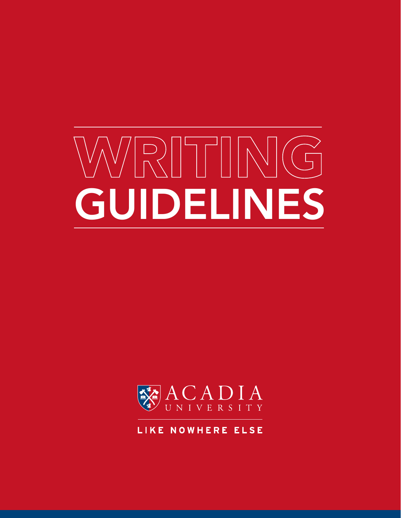# WRITING GUIDELINES



LIKE NOWHERE ELSE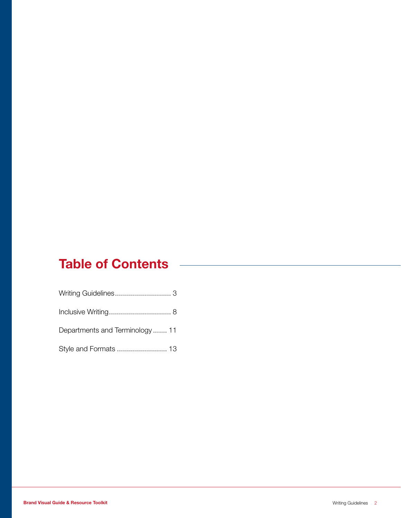# Table of Contents

| Departments and Terminology11 |  |
|-------------------------------|--|
|                               |  |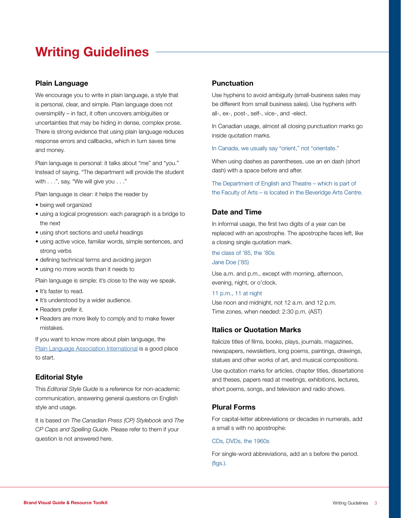# Writing Guidelines

# Plain Language

We encourage you to write in plain language, a style that is personal, clear, and simple. Plain language does not oversimplify – in fact, it often uncovers ambiguities or uncertainties that may be hiding in dense, complex prose. There is strong evidence that using plain language reduces response errors and callbacks, which in turn saves time and money.

Plain language is personal: it talks about "me" and "you." Instead of saying, "The department will provide the student with . . .", say, "We will give you . . ."

Plain language is clear: it helps the reader by

- being well organized
- using a logical progression: each paragraph is a bridge to the next
- using short sections and useful headings
- using active voice, familiar words, simple sentences, and strong verbs
- defining technical terms and avoiding jargon
- using no more words than it needs to

Plain language is simple: it's close to the way we speak.

- It's faster to read.
- It's understood by a wider audience.
- Readers prefer it.
- Readers are more likely to comply and to make fewer mistakes.

If you want to know more about plain language, the [Plain Language Association International](http://www.plainlanguagenetwork.org) is a good place to start.

## Editorial Style

This *Editorial Style Guide* is a reference for non-academic communication, answering general questions on English style and usage.

It is based on *The Canadian Press (CP) Stylebook* and *The CP Caps and Spelling Guide*. Please refer to them if your question is not answered here.

#### Punctuation

Use hyphens to avoid ambiguity (small-business sales may be different from small business sales). Use hyphens with all-, ex-, post-, self-, vice-, and -elect.

In Canadian usage, almost all closing punctuation marks go inside quotation marks.

In Canada, we usually say "orient," not "orientate."

When using dashes as parentheses, use an en dash (short dash) with a space before and after.

The Department of English and Theatre – which is part of the Faculty of Arts – is located in the Beveridge Arts Centre.

# Date and Time

In informal usage, the first two digits of a year can be replaced with an apostrophe. The apostrophe faces left, like a closing single quotation mark.

the class of '85, the '80s Jane Doe ('85)

Use a.m. and p.m., except with morning, afternoon, evening, night, or o'clock.

11 p.m., 11 at night

Use noon and midnight, not 12 a.m. and 12 p.m. Time zones, when needed: 2:30 p.m. (AST)

## Italics or Quotation Marks

Italicize titles of films, books, plays, journals, magazines, newspapers, newsletters, long poems, paintings, drawings, statues and other works of art, and musical compositions.

Use quotation marks for articles, chapter titles, dissertations and theses, papers read at meetings, exhibitions, lectures, short poems, songs, and television and radio shows.

## Plural Forms

For capital-letter abbreviations or decades in numerals, add a small s with no apostrophe:

#### CDs, DVDs, the 1960s

For single-word abbreviations, add an s before the period. (figs.).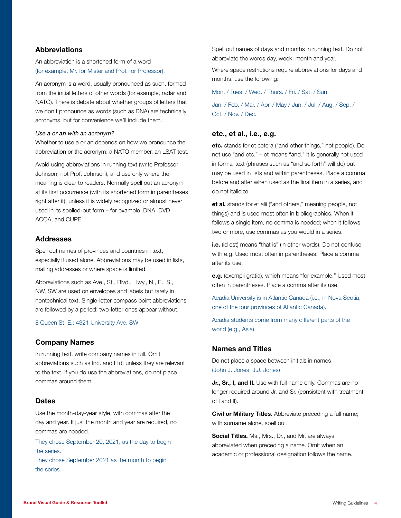## **Abbreviations**

An abbreviation is a shortened form of a word (for example, Mr. for Mister and Prof. for Professor).

An acronym is a word, usually pronounced as such, formed from the initial letters of other words (for example, radar and NATO). There is debate about whether groups of letters that we don't pronounce as words (such as DNA) are technically acronyms, but for convenience we'll include them.

#### *Use a or an with an acronym?*

Whether to use a or an depends on how we pronounce the abbreviation or the acronym: a NATO member, an LSAT test.

Avoid using abbreviations in running text (write Professor Johnson, not Prof. Johnson), and use only where the meaning is clear to readers. Normally spell out an acronym at its first occurrence (with its shortened form in parentheses right after it), unless it is widely recognized or almost never used in its spelled-out form – for example, DNA, DVD, ACOA, and CUPE.

#### **Addresses**

Spell out names of provinces and countries in text, especially if used alone. Abbreviations may be used in lists, mailing addresses or where space is limited.

Abbreviations such as Ave., St., Blvd., Hwy., N., E., S., NW, SW are used on envelopes and labels but rarely in nontechnical text. Single-letter compass point abbreviations are followed by a period; two-letter ones appear without.

8 Queen St. E.; 4321 University Ave. SW

#### Company Names

In running text, write company names in full. Omit abbreviations such as Inc. and Ltd. unless they are relevant to the text. If you do use the abbreviations, do not place commas around them.

#### **Dates**

Use the month-day-year style, with commas after the day and year. If just the month and year are required, no commas are needed.

They chose September 20, 2021, as the day to begin the series.

They chose September 2021 as the month to begin the series.

Spell out names of days and months in running text. Do not abbreviate the words day, week, month and year.

Where space restrictions require abbreviations for days and months, use the following:

Mon. / Tues. / Wed. / Thurs. / Fri. / Sat. / Sun.

Jan. / Feb. / Mar. / Apr. / May / Jun. / Jul. / Aug. / Sep. / Oct. / Nov. / Dec.

#### etc., et al., i.e., e.g.

etc. stands for et cetera ("and other things," not people). Do not use "and etc." – et means "and." It is generally not used in formal text (phrases such as "and so forth" will do) but may be used in lists and within parentheses. Place a comma before and after when used as the final item in a series, and do not italicize.

et al. stands for et alii ("and others," meaning people, not things) and is used most often in bibliographies. When it follows a single item, no comma is needed; when it follows two or more, use commas as you would in a series.

i.e. (id est) means "that is" (in other words). Do not confuse with e.g. Used most often in parentheses. Place a comma after its use.

e.g. (exempli gratia), which means "for example." Used most often in parentheses. Place a comma after its use.

Acadia University is in Atlantic Canada (i.e., in Nova Scotia, one of the four provinces of Atlantic Canada).

Acadia students come from many different parts of the world (e.g., Asia).

#### Names and Titles

Do not place a space between initials in names (John J. Jones, J.J. Jones)

Jr., Sr., I, and II. Use with full name only. Commas are no longer required around Jr. and Sr. (consistent with treatment of I and II).

**Civil or Military Titles.** Abbreviate preceding a full name; with surname alone, spell out.

Social Titles. Ms., Mrs., Dr., and Mr. are always abbreviated when preceding a name. Omit when an academic or professional designation follows the name.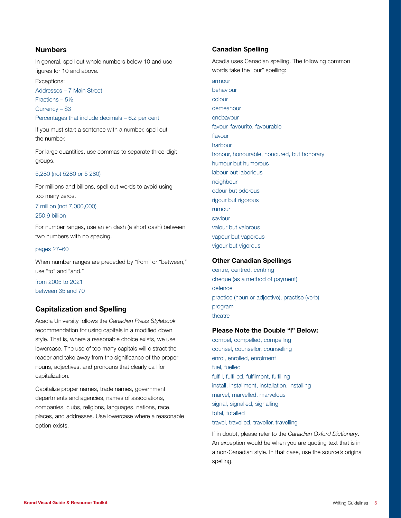# Numbers

In general, spell out whole numbers below 10 and use figures for 10 and above.

Exceptions: Addresses – 7 Main Street Fractions – 5½ Currency – \$3 Percentages that include decimals – 6.2 per cent

If you must start a sentence with a number, spell out the number.

For large quantities, use commas to separate three-digit groups.

#### 5,280 (not 5280 or 5 280)

For millions and billions, spell out words to avoid using too many zeros.

# 7 million (not 7,000,000)

250.9 billion

For number ranges, use an en dash (a short dash) between two numbers with no spacing.

#### pages 27–60

When number ranges are preceded by "from" or "between," use "to" and "and."

from 2005 to 2021 between 35 and 70

# Capitalization and Spelling

Acadia University follows the *Canadian Press Stylebook* recommendation for using capitals in a modified down style. That is, where a reasonable choice exists, we use lowercase. The use of too many capitals will distract the reader and take away from the significance of the proper nouns, adjectives, and pronouns that clearly call for capitalization.

Capitalize proper names, trade names, government departments and agencies, names of associations, companies, clubs, religions, languages, nations, race, places, and addresses. Use lowercase where a reasonable option exists.

#### Canadian Spelling

Acadia uses Canadian spelling. The following common words take the "our" spelling:

armour behaviour colour demeanour endeavour favour, favourite, favourable flavour harbour honour, honourable, honoured, but honorary humour but humorous labour but laborious neighbour odour but odorous rigour but rigorous rumour saviour valour but valorous vapour but vaporous vigour but vigorous

#### Other Canadian Spellings

centre, centred, centring cheque (as a method of payment) defence practice (noun or adjective), practise (verb) program theatre

# Please Note the Double "l" Below:

compel, compelled, compelling counsel, counsellor, counselling enrol, enrolled, enrolment fuel, fuelled fulfill, fulfilled, fulfilment, fulfilling install, installment, installation, installing marvel, marvelled, marvelous signal, signalled, signalling total, totalled travel, travelled, traveller, travelling

If in doubt, please refer to the *Canadian Oxford Dictionary*. An exception would be when you are quoting text that is in a non-Canadian style. In that case, use the source's original spelling.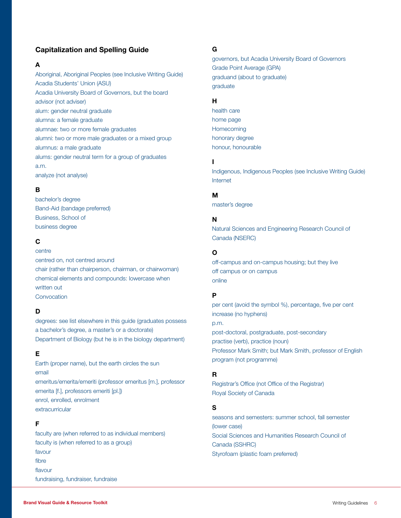# Capitalization and Spelling Guide

#### A

Aboriginal, Aboriginal Peoples (see Inclusive Writing Guide) Acadia Students' Union (ASU) Acadia University Board of Governors, but the board advisor (not adviser) alum: gender neutral graduate alumna: a female graduate alumnae: two or more female graduates alumni: two or more male graduates or a mixed group alumnus: a male graduate alums: gender neutral term for a group of graduates a.m. analyze (not analyse)

#### B

bachelor's degree Band-Aid (bandage preferred) Business, School of business degree

# C

centre centred on, not centred around chair (rather than chairperson, chairman, or chairwoman) chemical elements and compounds: lowercase when written out Convocation

## D

degrees: see list elsewhere in this guide (graduates possess a bachelor's degree, a master's or a doctorate) Department of Biology (but he is in the biology department)

#### E

Earth (proper name), but the earth circles the sun email emeritus/emerita/emeriti (professor emeritus [m.], professor emerita [f.], professors emeriti [pl.]) enrol, enrolled, enrolment extracurricular

#### F

faculty are (when referred to as individual members) faculty is (when referred to as a group) favour fibre flavour fundraising, fundraiser, fundraise

#### G

governors, but Acadia University Board of Governors Grade Point Average (GPA) graduand (about to graduate) graduate

#### H

health care home page **Homecoming** honorary degree honour, honourable

#### I

Indigenous, Indigenous Peoples (see Inclusive Writing Guide) Internet

#### M

master's degree

#### N

Natural Sciences and Engineering Research Council of Canada (NSERC)

#### O

off-campus and on-campus housing; but they live off campus or on campus online

## P

per cent (avoid the symbol %), percentage, five per cent increase (no hyphens) p.m. post-doctoral, postgraduate, post-secondary practise (verb), practice (noun) Professor Mark Smith; but Mark Smith, professor of English program (not programme)

#### R

Registrar's Office (not Office of the Registrar) Royal Society of Canada

#### S

seasons and semesters: summer school, fall semester (lower case) Social Sciences and Humanities Research Council of Canada (SSHRC) Styrofoam (plastic foam preferred)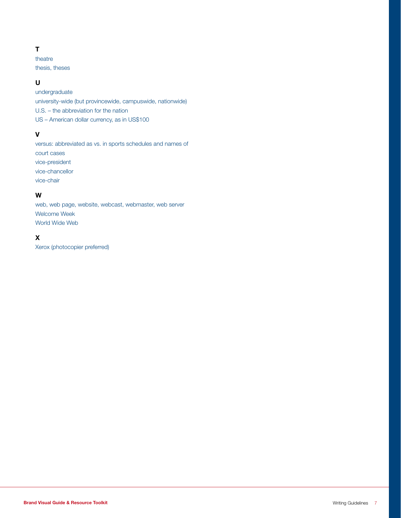# T

theatre thesis, theses

# U

undergraduate university-wide (but provincewide, campuswide, nationwide) U.S. – the abbreviation for the nation US – American dollar currency, as in US\$100

# V

versus: abbreviated as vs. in sports schedules and names of court cases vice-president vice-chancellor vice-chair

# W

web, web page, website, webcast, webmaster, web server Welcome Week World Wide Web

# X

Xerox (photocopier preferred)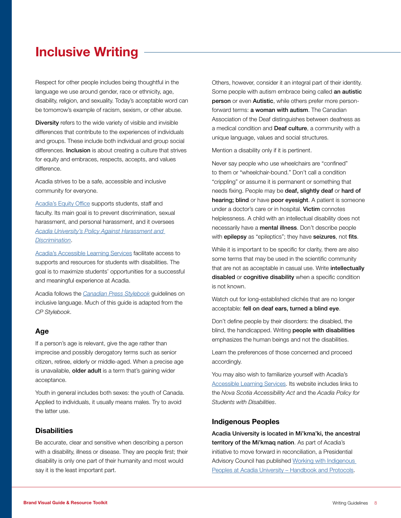# Inclusive Writing

Respect for other people includes being thoughtful in the language we use around gender, race or ethnicity, age, disability, religion, and sexuality. Today's acceptable word can be tomorrow's example of racism, sexism, or other abuse.

Diversity refers to the wide variety of visible and invisible differences that contribute to the experiences of individuals and groups. These include both individual and group social differences. Inclusion is about creating a culture that strives for equity and embraces, respects, accepts, and values difference.

Acadia strives to be a safe, accessible and inclusive community for everyone.

[Acadia's Equity Office](https://www2.acadiau.ca/student-life/equity-judicial/equity.html) supports students, staff and faculty. Its main goal is to prevent discrimination, sexual harassment, and personal harassment, and it oversees *[Acadia University's Policy Against Harassment and](https://hr.acadiau.ca/tl_files/sites/hr/Policies%20and%20Procedures/Harassment%20&%20Discrimination.pdf)  [Discrimination](https://hr.acadiau.ca/tl_files/sites/hr/Policies%20and%20Procedures/Harassment%20&%20Discrimination.pdf)*.

[Acadia's Accessible Learning Services](https://www2.acadiau.ca/student-life/accessiblelearning.html) facilitate access to supports and resources for students with disabilities. The goal is to maximize students' opportunities for a successful and meaningful experience at Acadia.

Acadia follows the *[Canadian Press Stylebook](https://stylebooks.thecanadianpress.com)* guidelines on inclusive language. Much of this guide is adapted from the *CP Stylebook*.

## Age

If a person's age is relevant, give the age rather than imprecise and possibly derogatory terms such as senior citizen, retiree, elderly or middle-aged. When a precise age is unavailable, older adult is a term that's gaining wider acceptance.

Youth in general includes both sexes: the youth of Canada. Applied to individuals, it usually means males. Try to avoid the latter use.

#### **Disabilities**

Be accurate, clear and sensitive when describing a person with a disability, illness or disease. They are people first; their disability is only one part of their humanity and most would say it is the least important part.

Others, however, consider it an integral part of their identity. Some people with autism embrace being called an autistic person or even Autistic, while others prefer more personforward terms: **a woman with autism**. The Canadian Association of the Deaf distinguishes between deafness as a medical condition and Deaf culture, a community with a unique language, values and social structures.

Mention a disability only if it is pertinent.

Never say people who use wheelchairs are "confined" to them or "wheelchair-bound." Don't call a condition "crippling" or assume it is permanent or something that needs fixing. People may be deaf, slightly deaf or hard of hearing; blind or have poor eyesight. A patient is someone under a doctor's care or in hospital. Victim connotes helplessness. A child with an intellectual disability does not necessarily have a mental illness. Don't describe people with **epilepsy** as "epileptics"; they have **seizures**, not fits.

While it is important to be specific for clarity, there are also some terms that may be used in the scientific community that are not as acceptable in casual use. Write intellectually disabled or cognitive disability when a specific condition is not known.

Watch out for long-established clichés that are no longer acceptable: fell on deaf ears, turned a blind eye.

Don't define people by their disorders: the disabled, the blind, the handicapped. Writing people with disabilities emphasizes the human beings and not the disabilities.

Learn the preferences of those concerned and proceed accordingly.

You may also wish to familiarize yourself with Acadia's [Accessible Learning Services](https://www2.acadiau.ca/student-life/accessiblelearning.html). Its website includes links to the *Nova Scotia Accessibility Act* and the *Acadia Policy for Students with Disabilities*.

#### Indigenous Peoples

Acadia University is located in Mi'kma'ki, the ancestral territory of the Mi'kmaq nation. As part of Acadia's initiative to move forward in reconciliation, a Presidential Advisory Council has published Working with Indigenous [Peoples at Acadia University – Handbook and Protocols.](https://indigenous.acadiau.ca/tl_files/sites/indigenous/Acadia-IndigProtocolsHandbook_27February2018.pdf)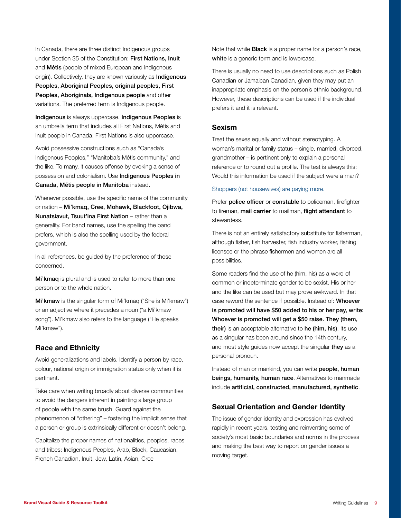In Canada, there are three distinct Indigenous groups under Section 35 of the Constitution: First Nations, Inuit and Métis (people of mixed European and Indigenous origin). Collectively, they are known variously as **Indigenous** Peoples, Aboriginal Peoples, original peoples, First Peoples, Aboriginals, Indigenous people and other variations. The preferred term is Indigenous people.

Indigenous is always uppercase. Indigenous Peoples is an umbrella term that includes all First Nations, Métis and Inuit people in Canada. First Nations is also uppercase.

Avoid possessive constructions such as "Canada's Indigenous Peoples," "Manitoba's Métis community," and the like. To many, it causes offense by evoking a sense of possession and colonialism. Use Indigenous Peoples in Canada, Métis people in Manitoba instead.

Whenever possible, use the specific name of the community or nation – Mi'kmaq, Cree, Mohawk, Blackfoot, Ojibwa, Nunatsiavut, Tsuut'ina First Nation – rather than a generality. For band names, use the spelling the band prefers, which is also the spelling used by the federal government.

In all references, be guided by the preference of those concerned.

Mi'kmag is plural and is used to refer to more than one person or to the whole nation.

Mi'kmaw is the singular form of Mi'kmaq ("She is Mi'kmaw") or an adjective where it precedes a noun ("a Mi'kmaw song"). Mi'kmaw also refers to the language ("He speaks Mi'kmaw").

## Race and Ethnicity

Avoid generalizations and labels. Identify a person by race, colour, national origin or immigration status only when it is pertinent.

Take care when writing broadly about diverse communities to avoid the dangers inherent in painting a large group of people with the same brush. Guard against the phenomenon of "othering" – fostering the implicit sense that a person or group is extrinsically different or doesn't belong.

Capitalize the proper names of nationalities, peoples, races and tribes: Indigenous Peoples, Arab, Black, Caucasian, French Canadian, Inuit, Jew, Latin, Asian, Cree

Note that while **Black** is a proper name for a person's race, white is a generic term and is lowercase.

There is usually no need to use descriptions such as Polish Canadian or Jamaican Canadian, given they may put an inappropriate emphasis on the person's ethnic background. However, these descriptions can be used if the individual prefers it and it is relevant.

#### Sexism

Treat the sexes equally and without stereotyping. A woman's marital or family status – single, married, divorced, grandmother – is pertinent only to explain a personal reference or to round out a profile. The test is always this: Would this information be used if the subject were a man?

#### Shoppers (not housewives) are paying more.

Prefer police officer or constable to policeman, firefighter to fireman, mail carrier to mailman, flight attendant to stewardess.

There is not an entirely satisfactory substitute for fisherman, although fisher, fish harvester, fish industry worker, fishing licensee or the phrase fishermen and women are all possibilities.

Some readers find the use of he (him, his) as a word of common or indeterminate gender to be sexist. His or her and the like can be used but may prove awkward. In that case reword the sentence if possible. Instead of: Whoever is promoted will have \$50 added to his or her pay, write: Whoever is promoted will get a \$50 raise. They (them, their) is an acceptable alternative to he (him, his). Its use as a singular has been around since the 14th century, and most style quides now accept the singular they as a personal pronoun.

Instead of man or mankind, you can write people, human beings, humanity, human race. Alternatives to manmade include artificial, constructed, manufactured, synthetic.

## Sexual Orientation and Gender Identity

The issue of gender identity and expression has evolved rapidly in recent years, testing and reinventing some of society's most basic boundaries and norms in the process and making the best way to report on gender issues a moving target.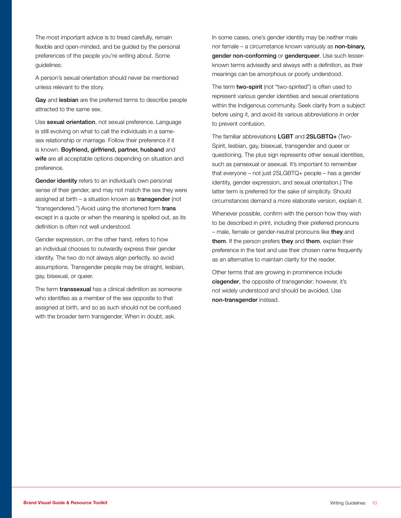The most important advice is to tread carefully, remain flexible and open-minded, and be guided by the personal preferences of the people you're writing about. Some guidelines:

A person's sexual orientation should never be mentioned unless relevant to the story.

Gay and lesbian are the preferred terms to describe people attracted to the same sex.

Use sexual orientation, not sexual preference. Language is still evolving on what to call the individuals in a samesex relationship or marriage. Follow their preference if it is known. Boyfriend, girlfriend, partner, husband and wife are all acceptable options depending on situation and preference.

Gender identity refers to an individual's own personal sense of their gender, and may not match the sex they were assigned at birth – a situation known as transgender (not "transgendered.") Avoid using the shortened form trans except in a quote or when the meaning is spelled out, as its definition is often not well understood.

Gender expression, on the other hand, refers to how an individual chooses to outwardly express their gender identity. The two do not always align perfectly, so avoid assumptions. Transgender people may be straight, lesbian, gay, bisexual, or queer.

The term **transsexual** has a clinical definition as someone who identifies as a member of the sex opposite to that assigned at birth, and so as such should not be confused with the broader term transgender. When in doubt, ask.

In some cases, one's gender identity may be neither male nor female – a circumstance known variously as non-binary, gender non-conforming or genderqueer. Use such lesserknown terms advisedly and always with a definition, as their meanings can be amorphous or poorly understood.

The term **two-spirit** (not "two-spirited") is often used to represent various gender identities and sexual orientations within the Indigenous community. Seek clarity from a subject before using it, and avoid its various abbreviations in order to prevent confusion.

The familiar abbreviations LGBT and 2SLGBTQ+ (Two-Spirit, lesbian, gay, bisexual, transgender and queer or questioning. The plus sign represents other sexual identities, such as pansexual or asexual. It's important to remember that everyone – not just 2SLGBTQ+ people – has a gender identity, gender expression, and sexual orientation.) The latter term is preferred for the sake of simplicity. Should circumstances demand a more elaborate version, explain it.

Whenever possible, confirm with the person how they wish to be described in print, including their preferred pronouns – male, female or gender-neutral pronouns like they and them. If the person prefers they and them, explain their preference in the text and use their chosen name frequently as an alternative to maintain clarity for the reader.

Other terms that are growing in prominence include cisgender, the opposite of transgender; however, it's not widely understood and should be avoided. Use non-transgender instead.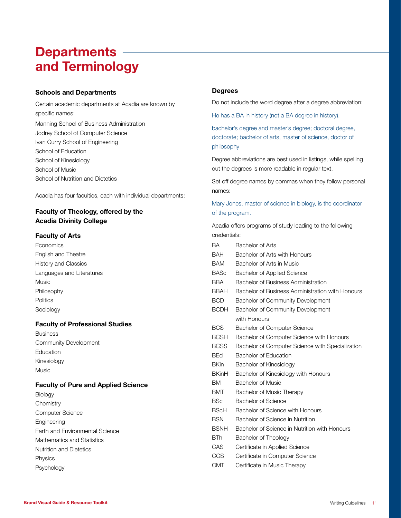# **Departments** and Terminology

#### Schools and Departments

Certain academic departments at Acadia are known by specific names:

Manning School of Business Administration Jodrey School of Computer Science Ivan Curry School of Engineering School of Education School of Kinesiology School of Music School of Nutrition and Dietetics

Acadia has four faculties, each with individual departments:

# Faculty of Theology, offered by the Acadia Divinity College

#### Faculty of Arts

**Economics** English and Theatre History and Classics Languages and Literatures Music Philosophy **Politics** Sociology

## Faculty of Professional Studies

Business Community Development Education Kinesiology Music

## Faculty of Pure and Applied Science

Biology **Chemistry** Computer Science Engineering Earth and Environmental Science Mathematics and Statistics Nutrition and Dietetics Physics Psychology

#### **Degrees**

Do not include the word degree after a degree abbreviation:

He has a BA in history (not a BA degree in history).

bachelor's degree and master's degree; doctoral degree, doctorate; bachelor of arts, master of science, doctor of philosophy

Degree abbreviations are best used in listings, while spelling out the degrees is more readable in regular text.

Set off degree names by commas when they follow personal names:

Mary Jones, master of science in biology, is the coordinator of the program.

Acadia offers programs of study leading to the following credentials:

| BA           | Bachelor of Arts                                 |
|--------------|--------------------------------------------------|
| <b>BAH</b>   | Bachelor of Arts with Honours                    |
| <b>BAM</b>   | Bachelor of Arts in Music                        |
| <b>BASc</b>  | <b>Bachelor of Applied Science</b>               |
| <b>BBA</b>   | Bachelor of Business Administration              |
| <b>BBAH</b>  | Bachelor of Business Administration with Honours |
| <b>BCD</b>   | Bachelor of Community Development                |
| <b>BCDH</b>  | Bachelor of Community Development                |
|              | with Honours                                     |
| <b>BCS</b>   | <b>Bachelor of Computer Science</b>              |
| <b>BCSH</b>  | Bachelor of Computer Science with Honours        |
| <b>BCSS</b>  | Bachelor of Computer Science with Specialization |
| <b>BEd</b>   | Bachelor of Education                            |
| <b>BKin</b>  | Bachelor of Kinesiology                          |
| <b>BKinH</b> | Bachelor of Kinesiology with Honours             |
| <b>BM</b>    | <b>Bachelor of Music</b>                         |
| <b>BMT</b>   | Bachelor of Music Therapy                        |
| <b>BSc</b>   | Bachelor of Science                              |
| <b>BScH</b>  | Bachelor of Science with Honours                 |
| <b>BSN</b>   | Bachelor of Science in Nutrition                 |
| <b>BSNH</b>  | Bachelor of Science in Nutrition with Honours    |
| <b>BTh</b>   | Bachelor of Theology                             |
| CAS          | Certificate in Applied Science                   |
| <b>CCS</b>   | Certificate in Computer Science                  |
| <b>CMT</b>   |                                                  |
|              | Certificate in Music Therapy                     |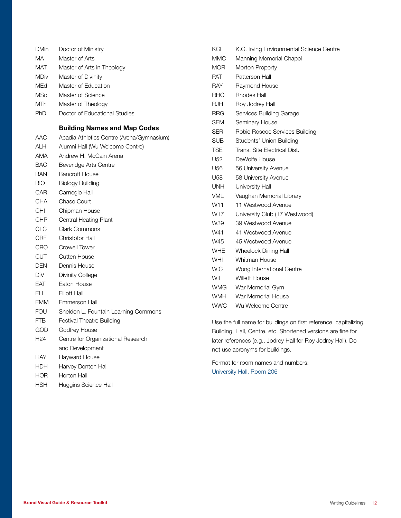| <b>DMin</b>     | Doctor of Ministry                                                           | Κ  |
|-----------------|------------------------------------------------------------------------------|----|
| MA              | Master of Arts                                                               | N  |
| MAT             | Master of Arts in Theology                                                   | N  |
| <b>MDiv</b>     | Master of Divinity                                                           | Р  |
| MEd             | Master of Education                                                          | R  |
| <b>MSc</b>      | Master of Science                                                            | R  |
| <b>MTh</b>      | Master of Theology                                                           | R  |
| <b>PhD</b>      | Doctor of Educational Studies                                                | R  |
|                 | <b>Building Names and Map Codes</b>                                          | S  |
| AAC             |                                                                              | S  |
| ALH             | Acadia Athletics Centre (Arena/Gymnasium)<br>Alumni Hall (Wu Welcome Centre) | S  |
| <b>AMA</b>      | Andrew H. McCain Arena                                                       | Τ  |
| BAC             | Beveridge Arts Centre                                                        | U  |
| <b>BAN</b>      | <b>Bancroft House</b>                                                        | U  |
| <b>BIO</b>      | <b>Biology Building</b>                                                      | U  |
| CAR             | Carnegie Hall                                                                | U  |
| <b>CHA</b>      | Chase Court                                                                  | V  |
| <b>CHI</b>      | Chipman House                                                                | V  |
| CHP.            | <b>Central Heating Plant</b>                                                 | V  |
| CLC             | <b>Clark Commons</b>                                                         | V  |
| CRF             | <b>Christofor Hall</b>                                                       | V  |
| CRO             | Crowell Tower                                                                | V  |
| <b>CUT</b>      | <b>Cutten House</b>                                                          | V  |
| DEN             | Dennis House                                                                 | V  |
| <b>DIV</b>      | <b>Divinity College</b>                                                      | V  |
| EAT             | Eaton House                                                                  | V  |
| ELL             | <b>Elliott Hall</b>                                                          | V  |
| <b>EMM</b>      | Emmerson Hall                                                                | V  |
| <b>FOU</b>      | Sheldon L. Fountain Learning Commons                                         | V  |
| FTB.            | <b>Festival Theatre Building</b>                                             | U  |
| GOD             | Godfrey House                                                                | В  |
| H <sub>24</sub> | Centre for Organizational Research                                           | lε |
|                 | and Development                                                              | n  |
| <b>HAY</b>      | Hayward House                                                                |    |
| HDH             | Harvey Denton Hall                                                           | F  |
| <b>HOR</b>      | Horton Hall                                                                  | U  |
| <b>HSH</b>      | Huggins Science Hall                                                         |    |
|                 |                                                                              |    |

| KCI             | K.C. Irving Environmental Science Centre               |
|-----------------|--------------------------------------------------------|
| MMC             | Manning Memorial Chapel                                |
| MOR             | Morton Property                                        |
| PAT             | Patterson Hall                                         |
| RAY             | Raymond House                                          |
| RHO             | Rhodes Hall                                            |
| <b>RJH</b>      | Roy Jodrey Hall                                        |
| <b>RRG</b>      | Services Building Garage                               |
| <b>SEM</b>      | Seminary House                                         |
| <b>SER</b>      | Robie Roscoe Services Building                         |
| SUB.            | Students' Union Building                               |
| <b>TSE</b>      | Trans. Site Electrical Dist.                           |
| U <sub>52</sub> | DeWolfe House                                          |
| U56             | 56 University Avenue                                   |
| U <sub>58</sub> | 58 University Avenue                                   |
| <b>UNH</b>      | University Hall                                        |
| <b>VML</b>      | Vaughan Memorial Library                               |
| W11             | 11 Westwood Avenue                                     |
| W17             | University Club (17 Westwood)                          |
| W39.            | 39 Westwood Avenue                                     |
| W41             | 41 Westwood Avenue                                     |
| W45             | 45 Westwood Avenue                                     |
| <b>WHE</b>      | <b>Wheelock Dining Hall</b>                            |
| WHI             | Whitman House                                          |
| <b>WIC</b>      | Wong International Centre                              |
| WIL             | <b>Willett House</b>                                   |
| WMG             | War Memorial Gym                                       |
| WMH             | War Memorial House                                     |
| <b>WWC</b>      | Wu Welcome Centre                                      |
|                 | Use the full name for buildings on first reference, ca |

apitalizing Building, Hall, Centre, etc. Shortened versions are fine for later references (e.g., Jodrey Hall for Roy Jodrey Hall). Do ot use acronyms for buildings.

format for room names and numbers: University Hall, Room 206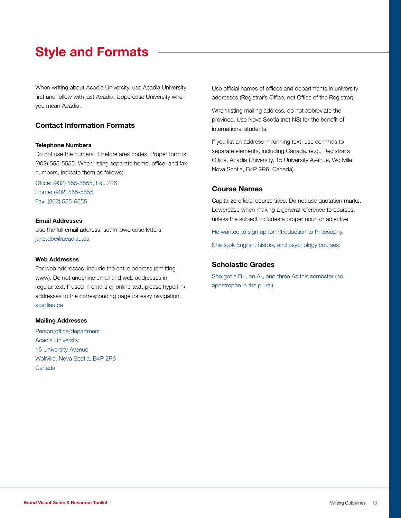# Style and Formats

When writing about Acadia University, use Acadia University first and follow with just Acadia. Uppercase University when you mean Acadia.

# Contact Information Formats

#### Telephone Numbers

Do not use the numeral 1 before area codes. Proper form is (902) 555-5555. When listing separate home, office, and fax numbers, indicate them as follows:

Office: (902) 555-5555, Ext. 226 Home: (902) 555-5555 Fax: (902) 555-5555

#### Email Addresses

Use the full email address, set in lowercase letters. jane.doe@acadiau.ca

#### Web Addresses

For web addresses, include the entire address (omitting www). Do not underline email and web addresses in regular text. If used in emails or online text, please hyperlink addresses to the corresponding page for easy navigation. acadiau.ca

#### Mailing Addresses

Person/office/department Acadia University 15 University Avenue Wolfville, Nova Scotia, B4P 2R6 Canada

Use official names of offices and departments in university addresses (Registrar's Office, not Office of the Registrar).

When listing mailing address, do not abbreviate the province. Use Nova Scotia (not NS) for the benefit of international students.

If you list an address in running text, use commas to separate elements, including Canada. (e.g., Registrar's Office, Acadia University, 15 University Avenue, Wolfville, Nova Scotia, B4P 2R6, Canada).

#### Course Names

Capitalize official course titles. Do not use quotation marks. Lowercase when making a general reference to courses, unless the subject includes a proper noun or adjective.

He wanted to sign up for Introduction to Philosophy.

She took English, history, and psychology courses.

## Scholastic Grades

She got a B+, an A-, and three As this semester (no apostrophe in the plural).